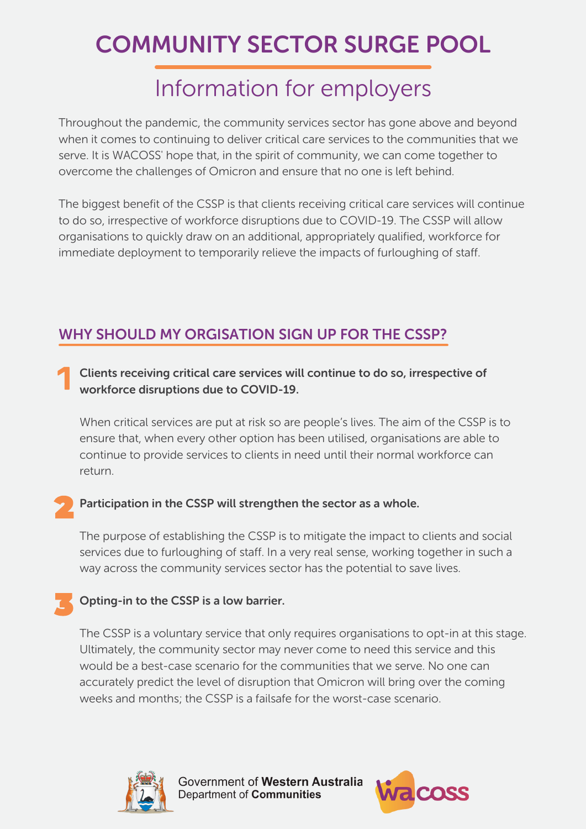# COMMUNITY SECTOR SURGE POOL

## Information for employers

Throughout the pandemic, the community services sector has gone above and beyond when it comes to continuing to deliver critical care services to the communities that we serve. It is WACOSS' hope that, in the spirit of community, we can come together to overcome the challenges of Omicron and ensure that no one is left behind.

The biggest benefit of the CSSP is that clients receiving critical care services will continue to do so, irrespective of workforce disruptions due to COVID-19. The CSSP will allow organisations to quickly draw on an additional, appropriately qualified, workforce for immediate deployment to temporarily relieve the impacts of furloughing of staff.

### WHY SHOULD MY ORGISATION SIGN UP FOR THE CSSP?

Clients receiving critical care services will continue to do so, irrespective of workforce disruptions due to COVID-19.

When critical services are put at risk so are people's lives. The aim of the CSSP is to ensure that, when every other option has been utilised, organisations are able to continue to provide services to clients in need until their normal workforce can return.

#### Participation in the CSSP will strengthen the sector as a whole.

The purpose of establishing the CSSP is to mitigate the impact to clients and social services due to furloughing of staff. In a very real sense, working together in such a way across the community services sector has the potential to save lives.

#### Opting-in to the CSSP is a low barrier.

The CSSP is a voluntary service that only requires organisations to opt-in at this stage. Ultimately, the community sector may never come to need this service and this would be a best-case scenario for the communities that we serve. No one can accurately predict the level of disruption that Omicron will bring over the coming weeks and months; the CSSP is a failsafe for the worst-case scenario.



Government of Western Australia Department of Communities